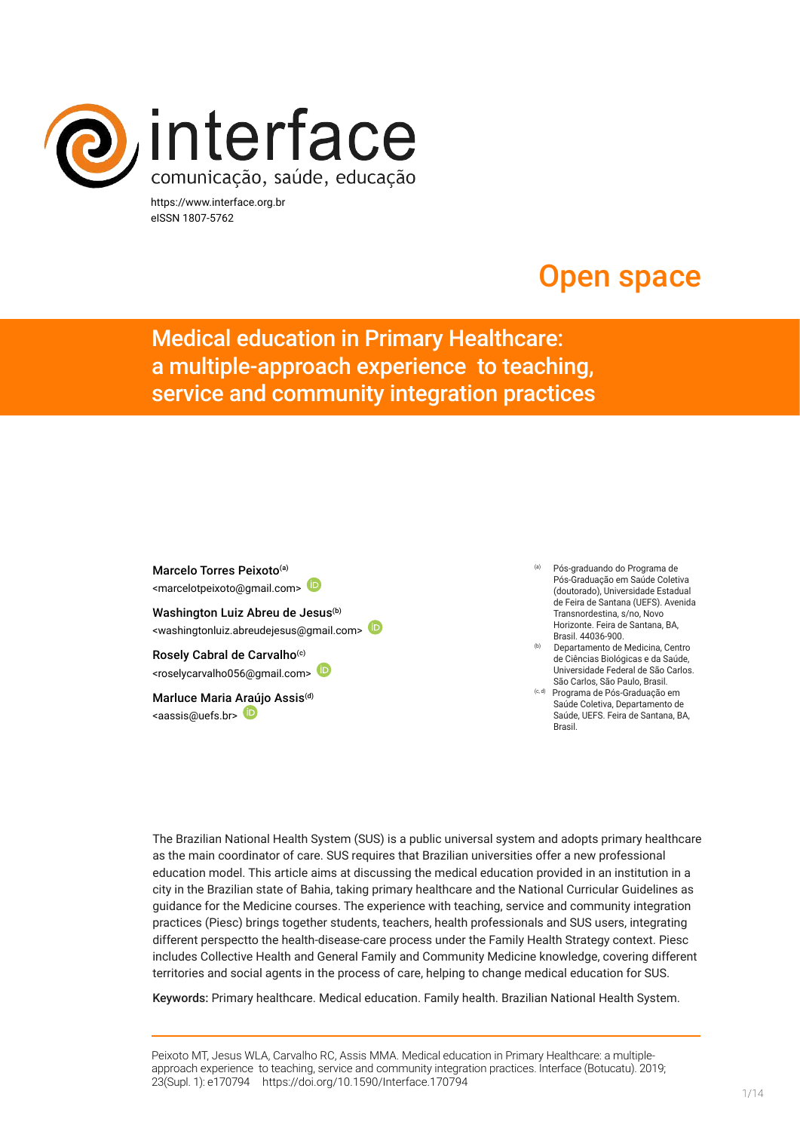

https://www.interface.org.br eISSN 1807-5762

# Open space

Medical education in Primary Healthcare: a multiple-approach experience to teaching, service and community integration practices

Marcelo Torres Peixoto<sup>(a)</sup> <marcelotpeixoto@gmail.com> Washington Luiz Abreu de Jesus<sup>(b)</sup> <washingtonluiz.abreudejesus@gmail.com> Rosely Cabral de Carvalho<sup>(c)</sup> <roselycarvalho056@gmail.com>

Marluce Maria Araújo Assis(d) <aassis@uefs.br>

- (a) Pós-graduando do Programa de Pós-Graduação em Saúde Coletiva (doutorado), Universidade Estadual de Feira de Santana (UEFS). Avenida Transnordestina, s/no, Novo Horizonte. Feira de Santana, BA, Brasil. 44036-900.
- Departamento de Medicina, Centro de Ciências Biológicas e da Saúde, Universidade Federal de São Carlos. São Carlos, São Paulo, Brasil.
- (c, d) Programa de Pós-Graduação em Saúde Coletiva, Departamento de Saúde, UEFS. Feira de Santana, BA, Brasil.

The Brazilian National Health System (SUS) is a public universal system and adopts primary healthcare as the main coordinator of care. SUS requires that Brazilian universities offer a new professional education model. This article aims at discussing the medical education provided in an institution in a city in the Brazilian state of Bahia, taking primary healthcare and the National Curricular Guidelines as guidance for the Medicine courses. The experience with teaching, service and community integration practices (Piesc) brings together students, teachers, health professionals and SUS users, integrating different perspectto the health-disease-care process under the Family Health Strategy context. Piesc includes Collective Health and General Family and Community Medicine knowledge, covering different territories and social agents in the process of care, helping to change medical education for SUS.

Keywords: Primary healthcare. Medical education. Family health. Brazilian National Health System.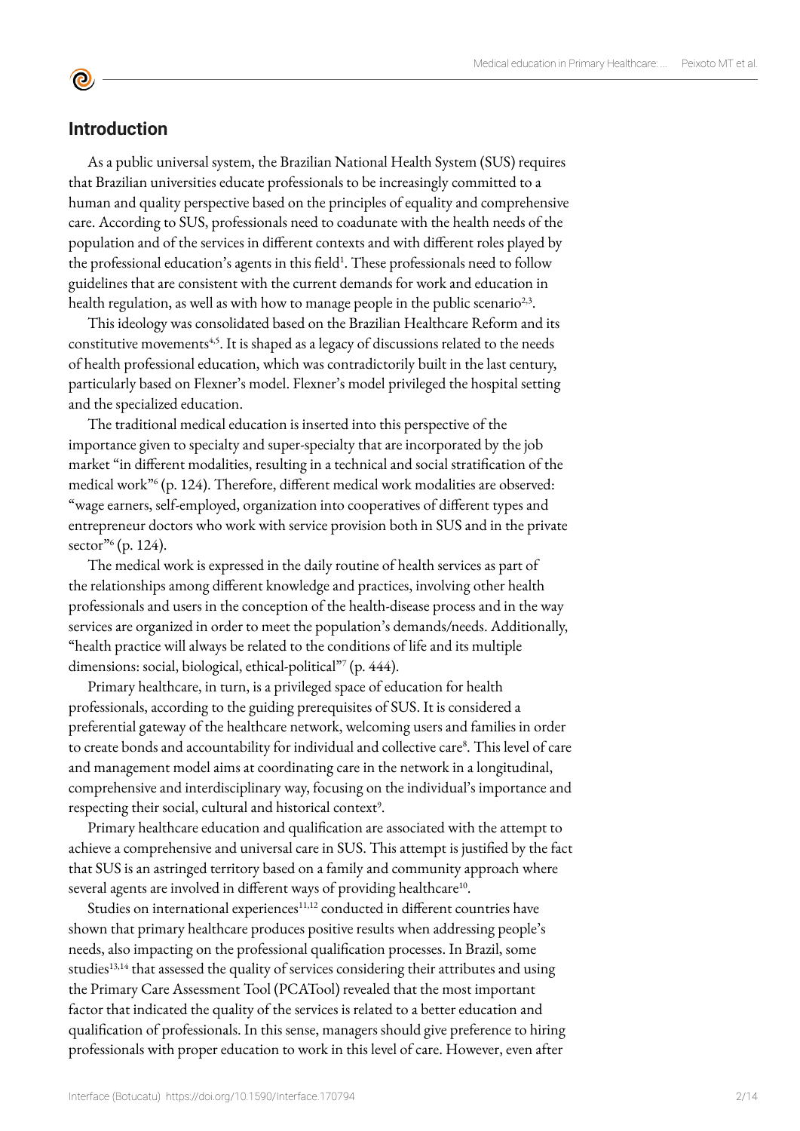## **Introduction**

 $\mathbf{\Theta}$ 

As a public universal system, the Brazilian National Health System (SUS) requires that Brazilian universities educate professionals to be increasingly committed to a human and quality perspective based on the principles of equality and comprehensive care. According to SUS, professionals need to coadunate with the health needs of the population and of the services in different contexts and with different roles played by the professional education's agents in this field<sup>1</sup>. These professionals need to follow guidelines that are consistent with the current demands for work and education in health regulation, as well as with how to manage people in the public scenario<sup>2,3</sup>.

This ideology was consolidated based on the Brazilian Healthcare Reform and its constitutive movements<sup>4,5</sup>. It is shaped as a legacy of discussions related to the needs of health professional education, which was contradictorily built in the last century, particularly based on Flexner's model. Flexner's model privileged the hospital setting and the specialized education.

The traditional medical education is inserted into this perspective of the importance given to specialty and super-specialty that are incorporated by the job market "in different modalities, resulting in a technical and social stratification of the medical work"6 (p. 124). Therefore, different medical work modalities are observed: "wage earners, self-employed, organization into cooperatives of different types and entrepreneur doctors who work with service provision both in SUS and in the private sector"<sup>6</sup> (p. 124).

The medical work is expressed in the daily routine of health services as part of the relationships among different knowledge and practices, involving other health professionals and users in the conception of the health-disease process and in the way services are organized in order to meet the population's demands/needs. Additionally, "health practice will always be related to the conditions of life and its multiple dimensions: social, biological, ethical-political"<sup>7</sup> (p. 444).

Primary healthcare, in turn, is a privileged space of education for health professionals, according to the guiding prerequisites of SUS. It is considered a preferential gateway of the healthcare network, welcoming users and families in order to create bonds and accountability for individual and collective care<sup>8</sup>. This level of care and management model aims at coordinating care in the network in a longitudinal, comprehensive and interdisciplinary way, focusing on the individual's importance and respecting their social, cultural and historical context<sup>9</sup>.

Primary healthcare education and qualification are associated with the attempt to achieve a comprehensive and universal care in SUS. This attempt is justified by the fact that SUS is an astringed territory based on a family and community approach where several agents are involved in different ways of providing healthcare<sup>10</sup>.

Studies on international experiences<sup>11,12</sup> conducted in different countries have shown that primary healthcare produces positive results when addressing people's needs, also impacting on the professional qualification processes. In Brazil, some studies<sup>13,14</sup> that assessed the quality of services considering their attributes and using the Primary Care Assessment Tool (PCATool) revealed that the most important factor that indicated the quality of the services is related to a better education and qualification of professionals. In this sense, managers should give preference to hiring professionals with proper education to work in this level of care. However, even after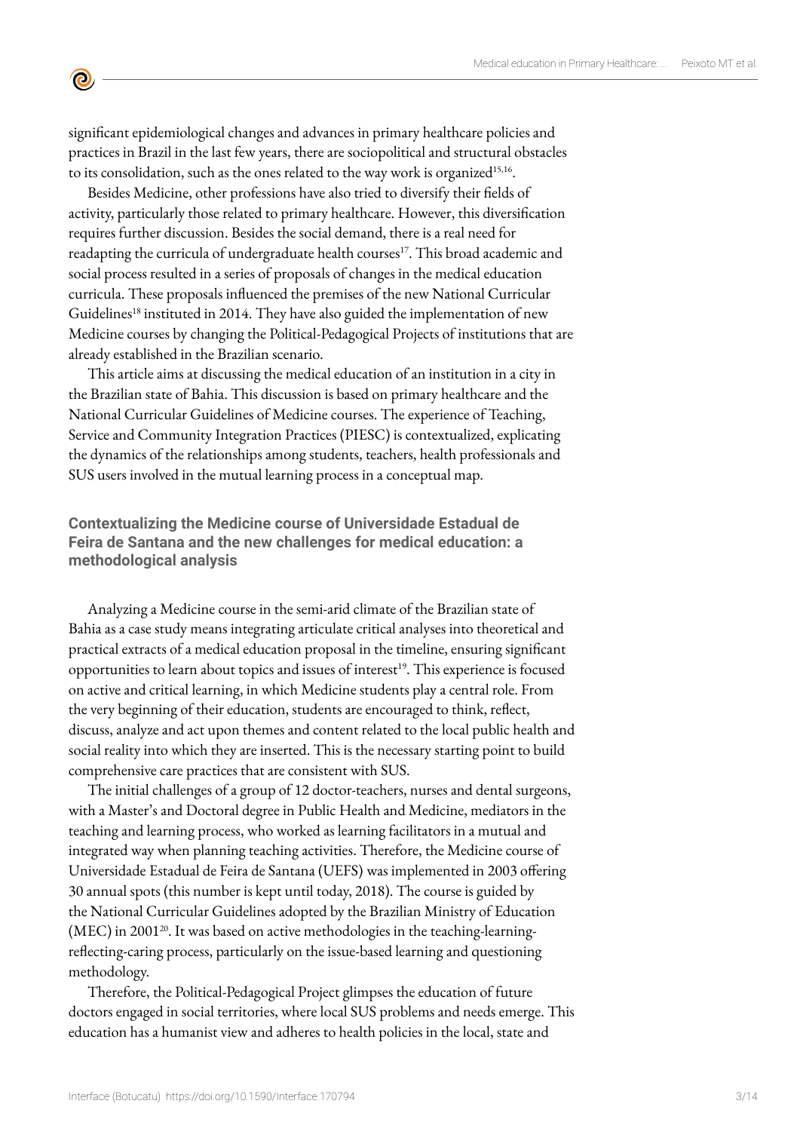significant epidemiological changes and advances in primary healthcare policies and practices in Brazil in the last few years, there are sociopolitical and structural obstacles to its consolidation, such as the ones related to the way work is organized<sup>15,16</sup>.

 $\mathbf{\Theta}$ 

Besides Medicine, other professions have also tried to diversify their fields of activity, particularly those related to primary healthcare. However, this diversification requires further discussion. Besides the social demand, there is a real need for readapting the curricula of undergraduate health courses<sup>17</sup>. This broad academic and social process resulted in a series of proposals of changes in the medical education curricula. These proposals influenced the premises of the new National Curricular Guidelines<sup>18</sup> instituted in 2014. They have also guided the implementation of new Medicine courses by changing the Political-Pedagogical Projects of institutions that are already established in the Brazilian scenario.

This article aims at discussing the medical education of an institution in a city in the Brazilian state of Bahia. This discussion is based on primary healthcare and the National Curricular Guidelines of Medicine courses. The experience of Teaching, Service and Community Integration Practices (PIESC) is contextualized, explicating the dynamics of the relationships among students, teachers, health professionals and SUS users involved in the mutual learning process in a conceptual map.

# **Contextualizing the Medicine course of Universidade Estadual de Feira de Santana and the new challenges for medical education: a methodological analysis**

Analyzing a Medicine course in the semi-arid climate of the Brazilian state of Bahia as a case study means integrating articulate critical analyses into theoretical and practical extracts of a medical education proposal in the timeline, ensuring significant opportunities to learn about topics and issues of interest<sup>19</sup>. This experience is focused on active and critical learning, in which Medicine students play a central role. From the very beginning of their education, students are encouraged to think, reflect, discuss, analyze and act upon themes and content related to the local public health and social reality into which they are inserted. This is the necessary starting point to build comprehensive care practices that are consistent with SUS.

The initial challenges of a group of 12 doctor-teachers, nurses and dental surgeons, with a Master's and Doctoral degree in Public Health and Medicine, mediators in the teaching and learning process, who worked as learning facilitators in a mutual and integrated way when planning teaching activities. Therefore, the Medicine course of Universidade Estadual de Feira de Santana (UEFS) was implemented in 2003 offering 30 annual spots (this number is kept until today, 2018). The course is guided by the National Curricular Guidelines adopted by the Brazilian Ministry of Education (MEC) in 2001<sup>20</sup>. It was based on active methodologies in the teaching-learningreflecting-caring process, particularly on the issue-based learning and questioning methodology.

Therefore, the Political-Pedagogical Project glimpses the education of future doctors engaged in social territories, where local SUS problems and needs emerge. This education has a humanist view and adheres to health policies in the local, state and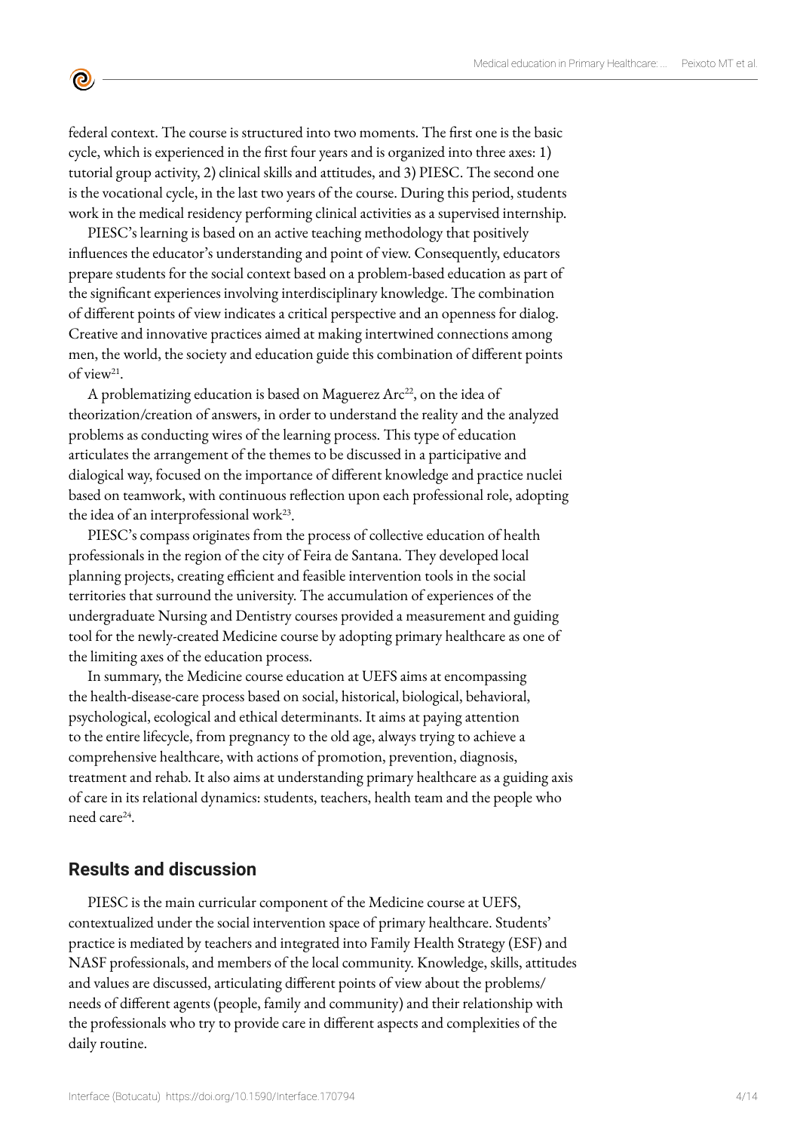federal context. The course is structured into two moments. The first one is the basic cycle, which is experienced in the first four years and is organized into three axes: 1) tutorial group activity, 2) clinical skills and attitudes, and 3) PIESC. The second one is the vocational cycle, in the last two years of the course. During this period, students work in the medical residency performing clinical activities as a supervised internship.

PIESC's learning is based on an active teaching methodology that positively influences the educator's understanding and point of view. Consequently, educators prepare students for the social context based on a problem-based education as part of the significant experiences involving interdisciplinary knowledge. The combination of different points of view indicates a critical perspective and an openness for dialog. Creative and innovative practices aimed at making intertwined connections among men, the world, the society and education guide this combination of different points of view21.

A problematizing education is based on Maguerez  $Arc^{22}$ , on the idea of theorization/creation of answers, in order to understand the reality and the analyzed problems as conducting wires of the learning process. This type of education articulates the arrangement of the themes to be discussed in a participative and dialogical way, focused on the importance of different knowledge and practice nuclei based on teamwork, with continuous reflection upon each professional role, adopting the idea of an interprofessional work $^{23}$ .

PIESC's compass originates from the process of collective education of health professionals in the region of the city of Feira de Santana. They developed local planning projects, creating efficient and feasible intervention tools in the social territories that surround the university. The accumulation of experiences of the undergraduate Nursing and Dentistry courses provided a measurement and guiding tool for the newly-created Medicine course by adopting primary healthcare as one of the limiting axes of the education process.

In summary, the Medicine course education at UEFS aims at encompassing the health-disease-care process based on social, historical, biological, behavioral, psychological, ecological and ethical determinants. It aims at paying attention to the entire lifecycle, from pregnancy to the old age, always trying to achieve a comprehensive healthcare, with actions of promotion, prevention, diagnosis, treatment and rehab. It also aims at understanding primary healthcare as a guiding axis of care in its relational dynamics: students, teachers, health team and the people who need care24.

#### **Results and discussion**

 $\mathbf{\Theta}$ 

PIESC is the main curricular component of the Medicine course at UEFS, contextualized under the social intervention space of primary healthcare. Students' practice is mediated by teachers and integrated into Family Health Strategy (ESF) and NASF professionals, and members of the local community. Knowledge, skills, attitudes and values are discussed, articulating different points of view about the problems/ needs of different agents (people, family and community) and their relationship with the professionals who try to provide care in different aspects and complexities of the daily routine.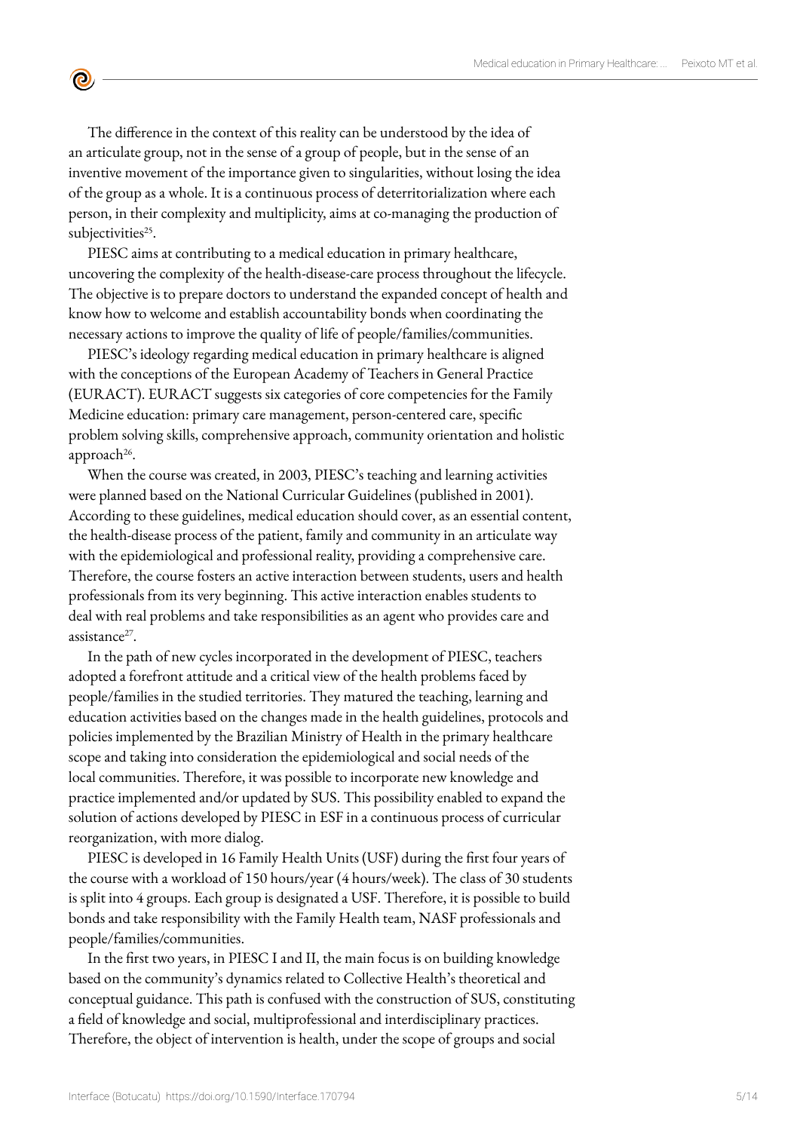The difference in the context of this reality can be understood by the idea of an articulate group, not in the sense of a group of people, but in the sense of an inventive movement of the importance given to singularities, without losing the idea of the group as a whole. It is a continuous process of deterritorialization where each person, in their complexity and multiplicity, aims at co-managing the production of subjectivities<sup>25</sup>.

 $\bullet$ 

PIESC aims at contributing to a medical education in primary healthcare, uncovering the complexity of the health-disease-care process throughout the lifecycle. The objective is to prepare doctors to understand the expanded concept of health and know how to welcome and establish accountability bonds when coordinating the necessary actions to improve the quality of life of people/families/communities.

PIESC's ideology regarding medical education in primary healthcare is aligned with the conceptions of the European Academy of Teachers in General Practice (EURACT). EURACT suggests six categories of core competencies for the Family Medicine education: primary care management, person-centered care, specific problem solving skills, comprehensive approach, community orientation and holistic approach<sup>26</sup>.

When the course was created, in 2003, PIESC's teaching and learning activities were planned based on the National Curricular Guidelines (published in 2001). According to these guidelines, medical education should cover, as an essential content, the health-disease process of the patient, family and community in an articulate way with the epidemiological and professional reality, providing a comprehensive care. Therefore, the course fosters an active interaction between students, users and health professionals from its very beginning. This active interaction enables students to deal with real problems and take responsibilities as an agent who provides care and assistance<sup>27</sup>.

In the path of new cycles incorporated in the development of PIESC, teachers adopted a forefront attitude and a critical view of the health problems faced by people/families in the studied territories. They matured the teaching, learning and education activities based on the changes made in the health guidelines, protocols and policies implemented by the Brazilian Ministry of Health in the primary healthcare scope and taking into consideration the epidemiological and social needs of the local communities. Therefore, it was possible to incorporate new knowledge and practice implemented and/or updated by SUS. This possibility enabled to expand the solution of actions developed by PIESC in ESF in a continuous process of curricular reorganization, with more dialog.

PIESC is developed in 16 Family Health Units (USF) during the first four years of the course with a workload of 150 hours/year (4 hours/week). The class of 30 students is split into 4 groups. Each group is designated a USF. Therefore, it is possible to build bonds and take responsibility with the Family Health team, NASF professionals and people/families/communities.

In the first two years, in PIESC I and II, the main focus is on building knowledge based on the community's dynamics related to Collective Health's theoretical and conceptual guidance. This path is confused with the construction of SUS, constituting a field of knowledge and social, multiprofessional and interdisciplinary practices. Therefore, the object of intervention is health, under the scope of groups and social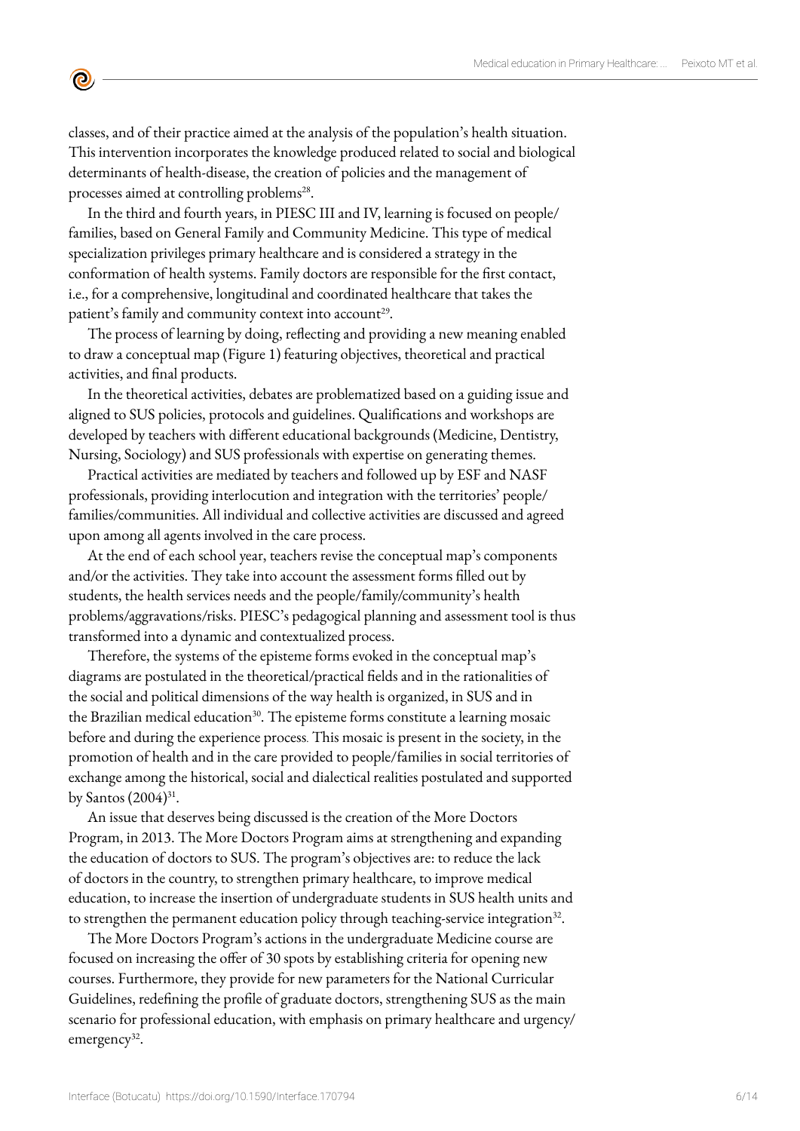classes, and of their practice aimed at the analysis of the population's health situation. This intervention incorporates the knowledge produced related to social and biological determinants of health-disease, the creation of policies and the management of processes aimed at controlling problems<sup>28</sup>.

 $\bullet$ 

In the third and fourth years, in PIESC III and IV, learning is focused on people/ families, based on General Family and Community Medicine. This type of medical specialization privileges primary healthcare and is considered a strategy in the conformation of health systems. Family doctors are responsible for the first contact, i.e., for a comprehensive, longitudinal and coordinated healthcare that takes the patient's family and community context into account<sup>29</sup>.

The process of learning by doing, reflecting and providing a new meaning enabled to draw a conceptual map (Figure 1) featuring objectives, theoretical and practical activities, and final products.

In the theoretical activities, debates are problematized based on a guiding issue and aligned to SUS policies, protocols and guidelines. Qualifications and workshops are developed by teachers with different educational backgrounds (Medicine, Dentistry, Nursing, Sociology) and SUS professionals with expertise on generating themes.

Practical activities are mediated by teachers and followed up by ESF and NASF professionals, providing interlocution and integration with the territories' people/ families/communities. All individual and collective activities are discussed and agreed upon among all agents involved in the care process.

At the end of each school year, teachers revise the conceptual map's components and/or the activities. They take into account the assessment forms filled out by students, the health services needs and the people/family/community's health problems/aggravations/risks. PIESC's pedagogical planning and assessment tool is thus transformed into a dynamic and contextualized process.

Therefore, the systems of the episteme forms evoked in the conceptual map's diagrams are postulated in the theoretical/practical fields and in the rationalities of the social and political dimensions of the way health is organized, in SUS and in the Brazilian medical education $30$ . The episteme forms constitute a learning mosaic before and during the experience process. This mosaic is present in the society, in the promotion of health and in the care provided to people/families in social territories of exchange among the historical, social and dialectical realities postulated and supported by Santos  $(2004)^{31}$ .

An issue that deserves being discussed is the creation of the More Doctors Program, in 2013. The More Doctors Program aims at strengthening and expanding the education of doctors to SUS. The program's objectives are: to reduce the lack of doctors in the country, to strengthen primary healthcare, to improve medical education, to increase the insertion of undergraduate students in SUS health units and to strengthen the permanent education policy through teaching-service integration<sup>32</sup>.

The More Doctors Program's actions in the undergraduate Medicine course are focused on increasing the offer of 30 spots by establishing criteria for opening new courses. Furthermore, they provide for new parameters for the National Curricular Guidelines, redefining the profile of graduate doctors, strengthening SUS as the main scenario for professional education, with emphasis on primary healthcare and urgency/ emergency<sup>32</sup>.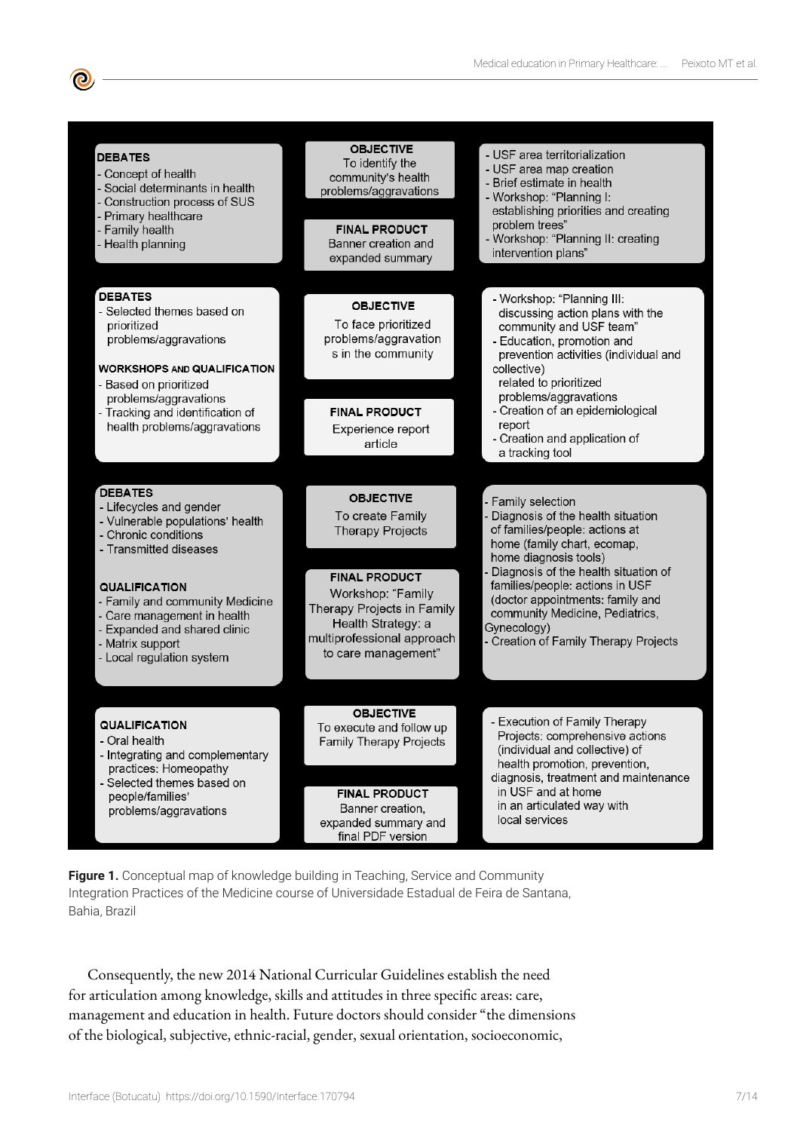| <b>DEBATES</b><br>- Concept of health<br>- Social determinants in health<br>Construction process of SUS<br>Primary healthcare<br>- Family health<br>- Health planning                                                                                                                                      | <b>OBJECTIVE</b><br>To identify the<br>community's health<br>problems/aggravations<br><b>FINAL PRODUCT</b><br>Banner creation and<br>expanded summary                                                                 | - USF area territorialization<br>- USF area map creation<br>- Brief estimate in health<br>- Workshop: "Planning I:<br>establishing priorities and creating<br>problem trees"<br>- Workshop: "Planning II: creating<br>intervention plans"                                                                                                                 |
|------------------------------------------------------------------------------------------------------------------------------------------------------------------------------------------------------------------------------------------------------------------------------------------------------------|-----------------------------------------------------------------------------------------------------------------------------------------------------------------------------------------------------------------------|-----------------------------------------------------------------------------------------------------------------------------------------------------------------------------------------------------------------------------------------------------------------------------------------------------------------------------------------------------------|
| <b>DEBATES</b><br>- Selected themes based on<br>prioritized<br>problems/aggravations<br><b>WORKSHOPS AND QUALIFICATION</b><br>- Based on prioritized<br>problems/aggravations<br>- Tracking and identification of<br>health problems/aggravations                                                          | <b>OBJECTIVE</b><br>To face prioritized<br>problems/aggravation<br>s in the community<br><b>FINAL PRODUCT</b><br>Experience report<br>article                                                                         | - Workshop: "Planning III:<br>discussing action plans with the<br>community and USF team"<br>- Education, promotion and<br>prevention activities (individual and<br>collective)<br>related to prioritized<br>problems/aggravations<br>- Creation of an epidemiological<br>report<br>- Creation and application of<br>a tracking tool                      |
| <b>DEBATES</b><br>- Lifecycles and gender<br>- Vulnerable populations' health<br>- Chronic conditions<br>- Transmitted diseases<br><b>QUALIFICATION</b><br>- Family and community Medicine<br>- Care management in health<br>- Expanded and shared clinic<br>- Matrix support<br>- Local regulation system | <b>OBJECTIVE</b><br>To create Family<br><b>Therapy Projects</b><br><b>FINAL PRODUCT</b><br>Workshop: "Family<br>Therapy Projects in Family<br>Health Strategy: a<br>multiprofessional approach<br>to care management" | Family selection<br>Diagnosis of the health situation<br>of families/people: actions at<br>home (family chart, ecomap,<br>home diagnosis tools)<br>Diagnosis of the health situation of<br>families/people: actions in USF<br>(doctor appointments: family and<br>community Medicine, Pediatrics,<br>Gynecology)<br>- Creation of Family Therapy Projects |
| QUALIFICATION<br>- Oral health<br>- Integrating and complementary<br>practices: Homeopathy<br>- Selected themes based on<br>people/families'<br>problems/aggravations                                                                                                                                      | <b>OBJECTIVE</b><br>To execute and follow up<br><b>Family Therapy Projects</b><br><b>FINAL PRODUCT</b><br>Banner creation,<br>expanded summary and<br>final PDF version                                               | - Execution of Family Therapy<br>Projects: comprehensive actions<br>(individual and collective) of<br>health promotion, prevention,<br>diagnosis, treatment and maintenance<br>in USF and at home<br>in an articulated way with<br>local services                                                                                                         |

**Figure 1.** Conceptual map of knowledge building in Teaching, Service and Community Integration Practices of the Medicine course of Universidade Estadual de Feira de Santana, Bahia, Brazil

Consequently, the new 2014 National Curricular Guidelines establish the need for articulation among knowledge, skills and attitudes in three specific areas: care, management and education in health. Future doctors should consider "the dimensions of the biological, subjective, ethnic-racial, gender, sexual orientation, socioeconomic,

 $\bullet$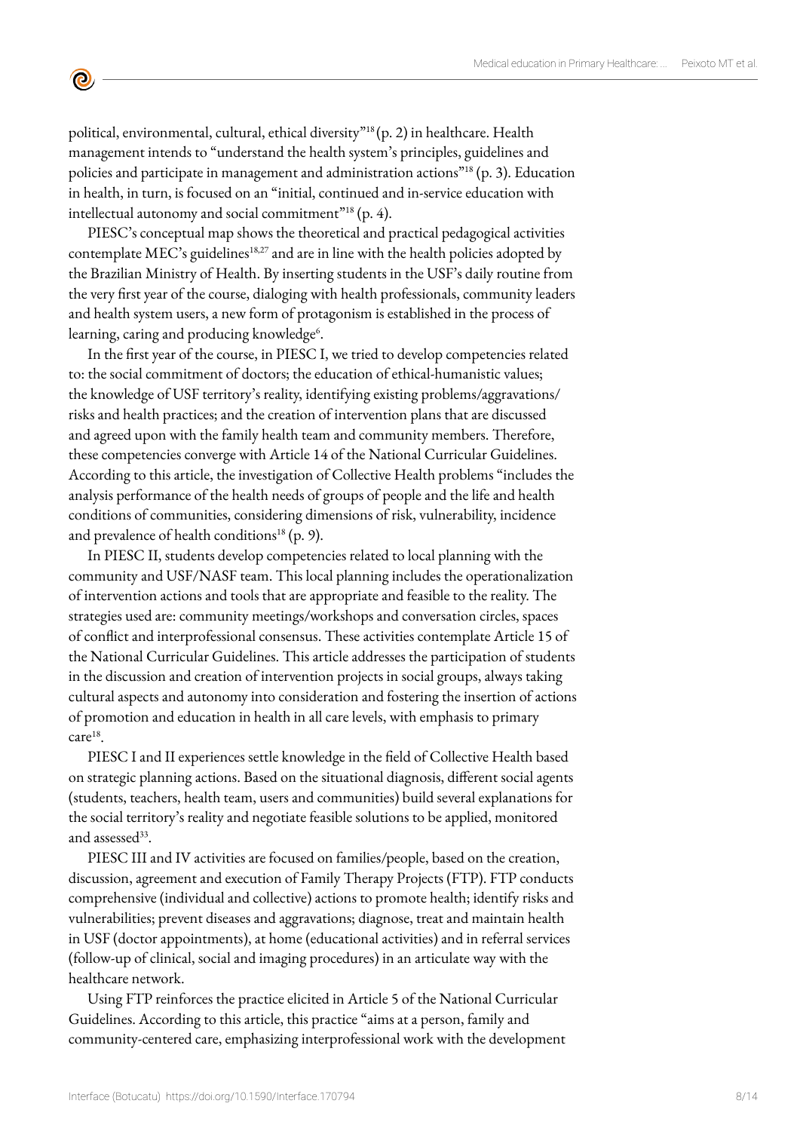political, environmental, cultural, ethical diversity"18 (p. 2) in healthcare. Health management intends to "understand the health system's principles, guidelines and policies and participate in management and administration actions<sup>"18</sup> (p. 3). Education in health, in turn, is focused on an "initial, continued and in-service education with intellectual autonomy and social commitment"<sup>18</sup> (p. 4).

 $\mathbf{\Theta}$ 

PIESC's conceptual map shows the theoretical and practical pedagogical activities contemplate MEC's guidelines<sup>18,27</sup> and are in line with the health policies adopted by the Brazilian Ministry of Health. By inserting students in the USF's daily routine from the very first year of the course, dialoging with health professionals, community leaders and health system users, a new form of protagonism is established in the process of learning, caring and producing knowledge<sup>6</sup>.

In the first year of the course, in PIESC I, we tried to develop competencies related to: the social commitment of doctors; the education of ethical-humanistic values; the knowledge of USF territory's reality, identifying existing problems/aggravations/ risks and health practices; and the creation of intervention plans that are discussed and agreed upon with the family health team and community members. Therefore, these competencies converge with Article 14 of the National Curricular Guidelines. According to this article, the investigation of Collective Health problems "includes the analysis performance of the health needs of groups of people and the life and health conditions of communities, considering dimensions of risk, vulnerability, incidence and prevalence of health conditions<sup>18</sup> (p. 9).

In PIESC II, students develop competencies related to local planning with the community and USF/NASF team. This local planning includes the operationalization of intervention actions and tools that are appropriate and feasible to the reality. The strategies used are: community meetings/workshops and conversation circles, spaces of conflict and interprofessional consensus. These activities contemplate Article 15 of the National Curricular Guidelines. This article addresses the participation of students in the discussion and creation of intervention projects in social groups, always taking cultural aspects and autonomy into consideration and fostering the insertion of actions of promotion and education in health in all care levels, with emphasis to primary care<sup>18</sup>.

PIESC I and II experiences settle knowledge in the field of Collective Health based on strategic planning actions. Based on the situational diagnosis, different social agents (students, teachers, health team, users and communities) build several explanations for the social territory's reality and negotiate feasible solutions to be applied, monitored and assessed $33$ .

PIESC III and IV activities are focused on families/people, based on the creation, discussion, agreement and execution of Family Therapy Projects (FTP). FTP conducts comprehensive (individual and collective) actions to promote health; identify risks and vulnerabilities; prevent diseases and aggravations; diagnose, treat and maintain health in USF (doctor appointments), at home (educational activities) and in referral services (follow-up of clinical, social and imaging procedures) in an articulate way with the healthcare network.

Using FTP reinforces the practice elicited in Article 5 of the National Curricular Guidelines. According to this article, this practice "aims at a person, family and community-centered care, emphasizing interprofessional work with the development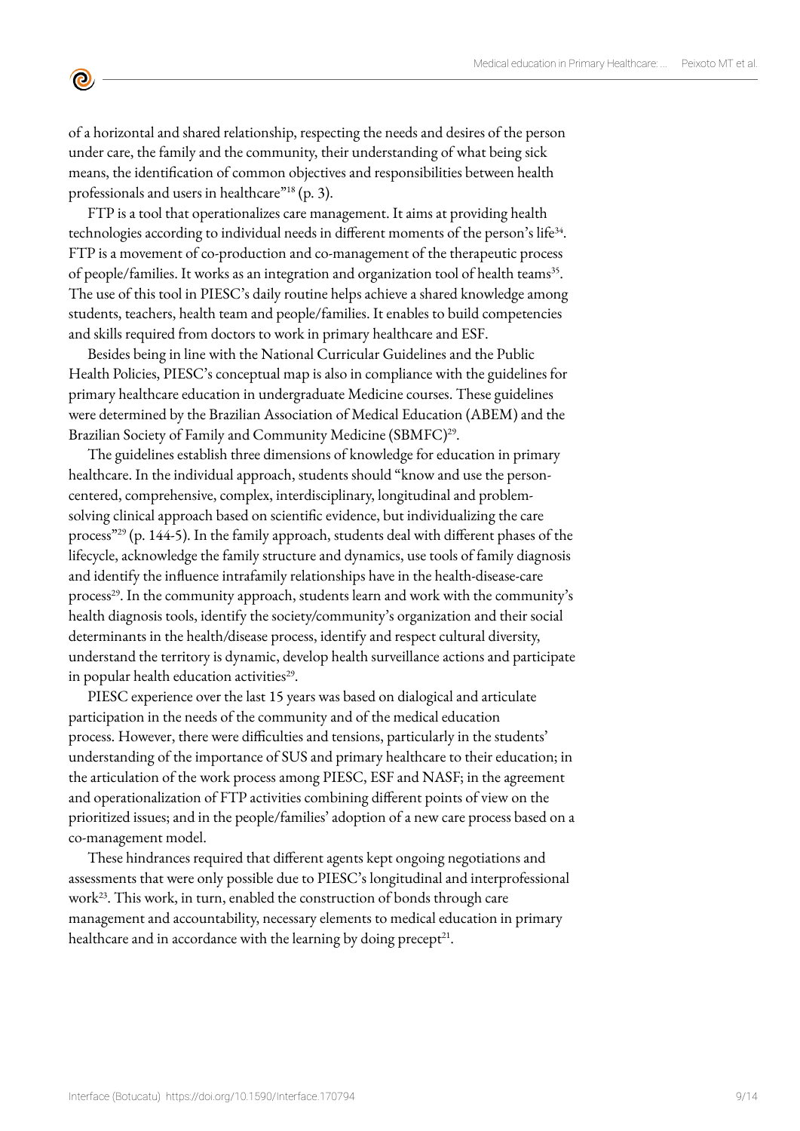of a horizontal and shared relationship, respecting the needs and desires of the person under care, the family and the community, their understanding of what being sick means, the identification of common objectives and responsibilities between health professionals and users in healthcare"<sup>18</sup> (p. 3).

 $\mathbf{\Theta}$ 

FTP is a tool that operationalizes care management. It aims at providing health technologies according to individual needs in different moments of the person's life<sup>34</sup>. FTP is a movement of co-production and co-management of the therapeutic process of people/families. It works as an integration and organization tool of health teams<sup>35</sup>. The use of this tool in PIESC's daily routine helps achieve a shared knowledge among students, teachers, health team and people/families. It enables to build competencies and skills required from doctors to work in primary healthcare and ESF.

Besides being in line with the National Curricular Guidelines and the Public Health Policies, PIESC's conceptual map is also in compliance with the guidelines for primary healthcare education in undergraduate Medicine courses. These guidelines were determined by the Brazilian Association of Medical Education (ABEM) and the Brazilian Society of Family and Community Medicine (SBMFC)<sup>29</sup>.

The guidelines establish three dimensions of knowledge for education in primary healthcare. In the individual approach, students should "know and use the personcentered, comprehensive, complex, interdisciplinary, longitudinal and problemsolving clinical approach based on scientific evidence, but individualizing the care process"29 (p. 144-5). In the family approach, students deal with different phases of the lifecycle, acknowledge the family structure and dynamics, use tools of family diagnosis and identify the influence intrafamily relationships have in the health-disease-care process<sup>29</sup>. In the community approach, students learn and work with the community's health diagnosis tools, identify the society/community's organization and their social determinants in the health/disease process, identify and respect cultural diversity, understand the territory is dynamic, develop health surveillance actions and participate in popular health education activities $^{29}$ .

PIESC experience over the last 15 years was based on dialogical and articulate participation in the needs of the community and of the medical education process. However, there were difficulties and tensions, particularly in the students' understanding of the importance of SUS and primary healthcare to their education; in the articulation of the work process among PIESC, ESF and NASF; in the agreement and operationalization of FTP activities combining different points of view on the prioritized issues; and in the people/families' adoption of a new care process based on a co-management model.

These hindrances required that different agents kept ongoing negotiations and assessments that were only possible due to PIESC's longitudinal and interprofessional work<sup>23</sup>. This work, in turn, enabled the construction of bonds through care management and accountability, necessary elements to medical education in primary healthcare and in accordance with the learning by doing precept<sup>21</sup>.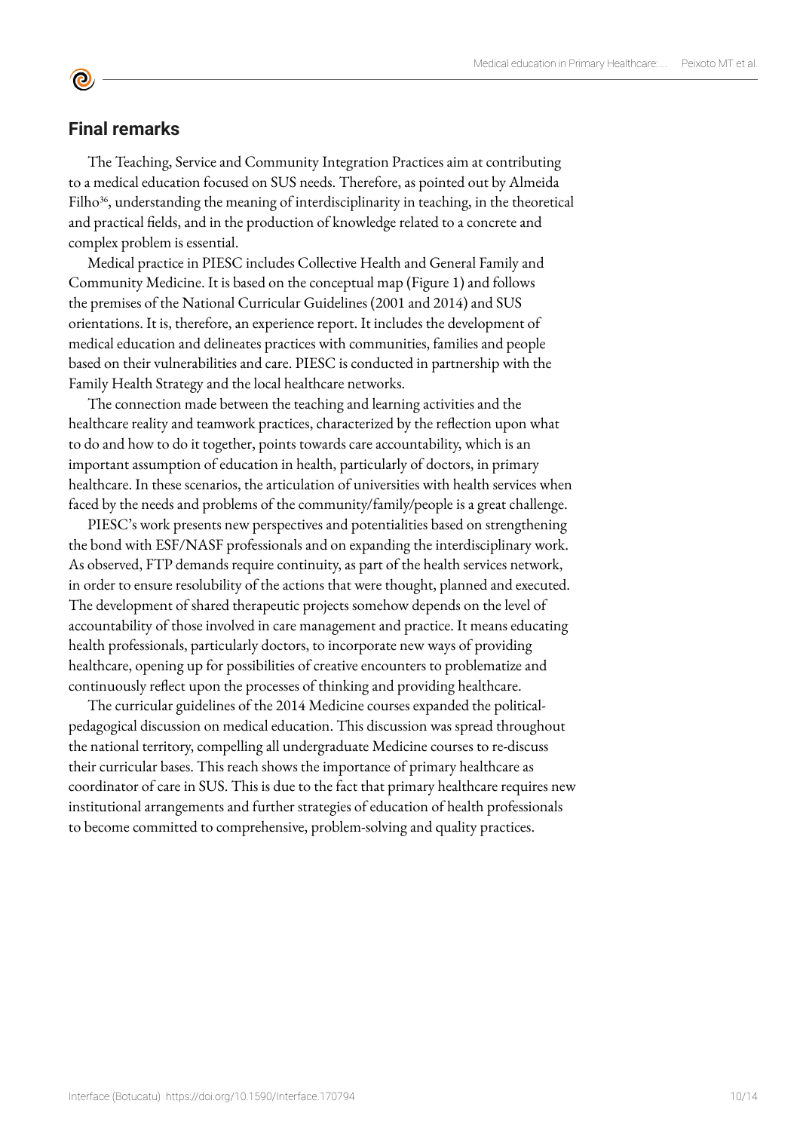# **Final remarks**

**©** 

The Teaching, Service and Community Integration Practices aim at contributing to a medical education focused on SUS needs. Therefore, as pointed out by Almeida Filho $36$ , understanding the meaning of interdisciplinarity in teaching, in the theoretical and practical fields, and in the production of knowledge related to a concrete and complex problem is essential.

Medical practice in PIESC includes Collective Health and General Family and Community Medicine. It is based on the conceptual map (Figure 1) and follows the premises of the National Curricular Guidelines (2001 and 2014) and SUS orientations. It is, therefore, an experience report. It includes the development of medical education and delineates practices with communities, families and people based on their vulnerabilities and care. PIESC is conducted in partnership with the Family Health Strategy and the local healthcare networks.

The connection made between the teaching and learning activities and the healthcare reality and teamwork practices, characterized by the reflection upon what to do and how to do it together, points towards care accountability, which is an important assumption of education in health, particularly of doctors, in primary healthcare. In these scenarios, the articulation of universities with health services when faced by the needs and problems of the community/family/people is a great challenge.

PIESC's work presents new perspectives and potentialities based on strengthening the bond with ESF/NASF professionals and on expanding the interdisciplinary work. As observed, FTP demands require continuity, as part of the health services network, in order to ensure resolubility of the actions that were thought, planned and executed. The development of shared therapeutic projects somehow depends on the level of accountability of those involved in care management and practice. It means educating health professionals, particularly doctors, to incorporate new ways of providing healthcare, opening up for possibilities of creative encounters to problematize and continuously reflect upon the processes of thinking and providing healthcare.

The curricular guidelines of the 2014 Medicine courses expanded the politicalpedagogical discussion on medical education. This discussion was spread throughout the national territory, compelling all undergraduate Medicine courses to re-discuss their curricular bases. This reach shows the importance of primary healthcare as coordinator of care in SUS. This is due to the fact that primary healthcare requires new institutional arrangements and further strategies of education of health professionals to become committed to comprehensive, problem-solving and quality practices.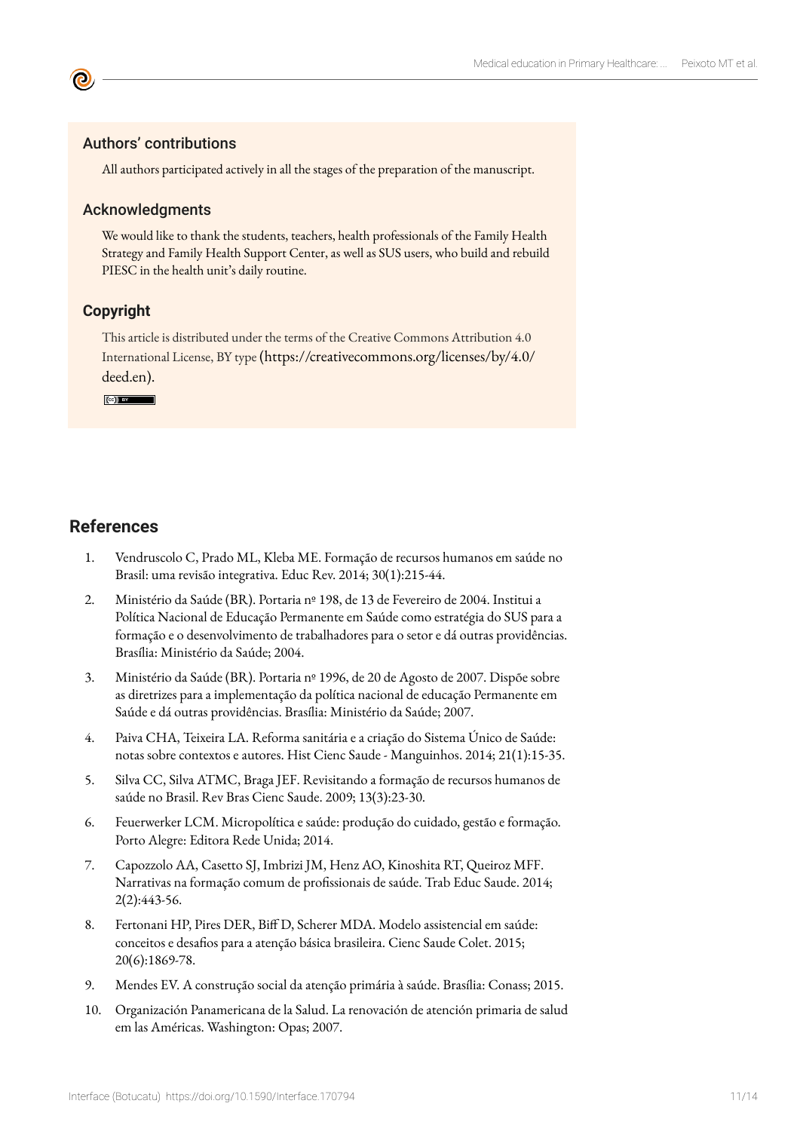#### Authors' contributions

All authors participated actively in all the stages of the preparation of the manuscript.

#### Acknowledgments

We would like to thank the students, teachers, health professionals of the Family Health Strategy and Family Health Support Center, as well as SUS users, who build and rebuild PIESC in the health unit's daily routine.

#### **Copyright**

This article is distributed under the terms of the Creative Commons Attribution 4.0 International License, BY type (https://creativecommons.org/licenses/by/4.0/ deed.en).

**CC**) BY

# **References**

- 1. Vendruscolo C, Prado ML, Kleba ME. Formação de recursos humanos em saúde no Brasil: uma revisão integrativa. Educ Rev. 2014; 30(1):215-44.
- 2. Ministério da Saúde (BR). Portaria nº 198, de 13 de Fevereiro de 2004. Institui a Política Nacional de Educação Permanente em Saúde como estratégia do SUS para a formação e o desenvolvimento de trabalhadores para o setor e dá outras providências. Brasília: Ministério da Saúde; 2004.
- 3. Ministério da Saúde (BR). Portaria nº 1996, de 20 de Agosto de 2007. Dispõe sobre as diretrizes para a implementação da política nacional de educação Permanente em Saúde e dá outras providências. Brasília: Ministério da Saúde; 2007.
- 4. Paiva CHA, Teixeira LA. Reforma sanitária e a criação do Sistema Único de Saúde: notas sobre contextos e autores. Hist Cienc Saude - Manguinhos. 2014; 21(1):15-35.
- 5. Silva CC, Silva ATMC, Braga JEF. Revisitando a formação de recursos humanos de saúde no Brasil. Rev Bras Cienc Saude. 2009; 13(3):23-30.
- 6. Feuerwerker LCM. Micropolítica e saúde: produção do cuidado, gestão e formação. Porto Alegre: Editora Rede Unida; 2014.
- 7. Capozzolo AA, Casetto SJ, Imbrizi JM, Henz AO, Kinoshita RT, Queiroz MFF. Narrativas na formação comum de profissionais de saúde. Trab Educ Saude. 2014; 2(2):443-56.
- 8. Fertonani HP, Pires DER, Biff D, Scherer MDA. Modelo assistencial em saúde: conceitos e desafios para a atenção básica brasileira. Cienc Saude Colet. 2015; 20(6):1869-78.
- 9. Mendes EV. A construção social da atenção primária à saúde. Brasília: Conass; 2015.
- 10. Organización Panamericana de la Salud. La renovación de atención primaria de salud em las Américas. Washington: Opas; 2007.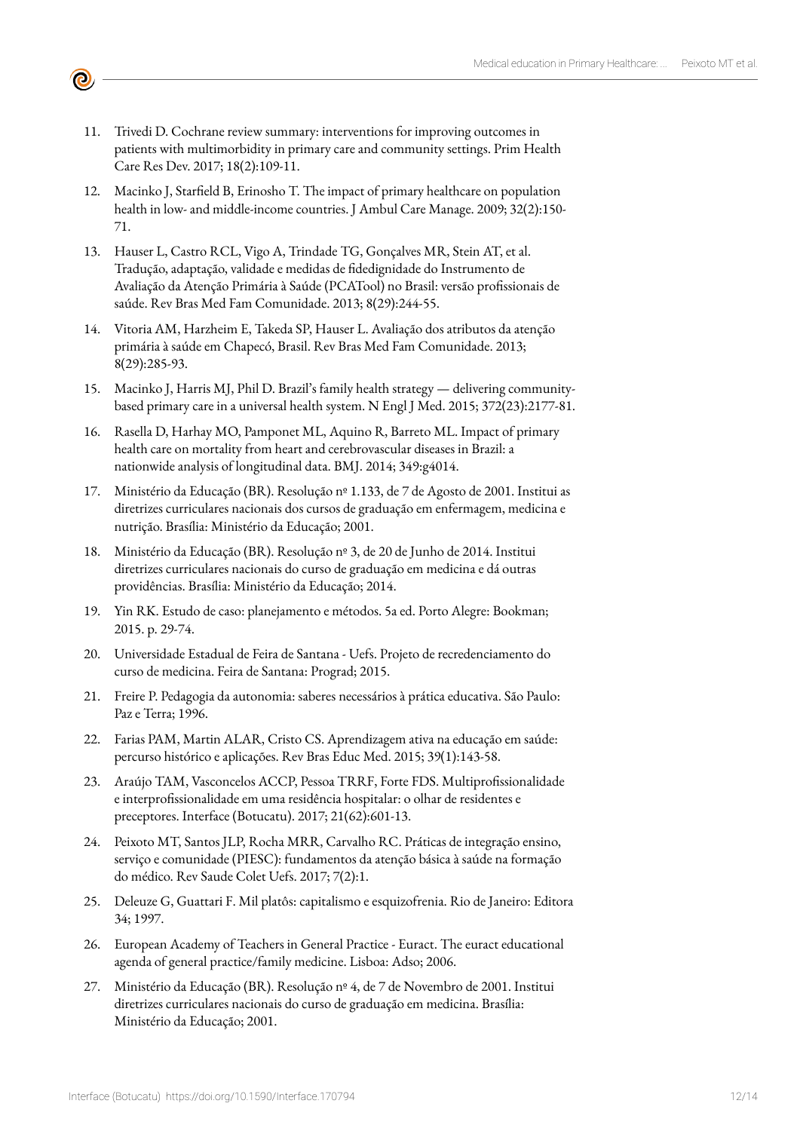- 11. Trivedi D. Cochrane review summary: interventions for improving outcomes in patients with multimorbidity in primary care and community settings. Prim Health Care Res Dev. 2017; 18(2):109-11.
- 12. Macinko J, Starfield B, Erinosho T. The impact of primary healthcare on population health in low- and middle-income countries. J Ambul Care Manage. 2009; 32(2):150- 71.
- 13. Hauser L, Castro RCL, Vigo A, Trindade TG, Gonçalves MR, Stein AT, et al. Tradução, adaptação, validade e medidas de fidedignidade do Instrumento de Avaliação da Atenção Primária à Saúde (PCATool) no Brasil: versão profissionais de saúde. Rev Bras Med Fam Comunidade. 2013; 8(29):244-55.
- 14. Vitoria AM, Harzheim E, Takeda SP, Hauser L. Avaliação dos atributos da atenção primária à saúde em Chapecó, Brasil. Rev Bras Med Fam Comunidade. 2013; 8(29):285-93.
- 15. Macinko J, Harris MJ, Phil D. Brazil's family health strategy delivering communitybased primary care in a universal health system. N Engl J Med. 2015; 372(23):2177-81.
- 16. Rasella D, Harhay MO, Pamponet ML, Aquino R, Barreto ML. Impact of primary health care on mortality from heart and cerebrovascular diseases in Brazil: a nationwide analysis of longitudinal data. BMJ. 2014; 349:g4014.
- 17. Ministério da Educação (BR). Resolução nº 1.133, de 7 de Agosto de 2001. Institui as diretrizes curriculares nacionais dos cursos de graduação em enfermagem, medicina e nutrição. Brasília: Ministério da Educação; 2001.
- 18. Ministério da Educação (BR). Resolução nº 3, de 20 de Junho de 2014. Institui diretrizes curriculares nacionais do curso de graduação em medicina e dá outras providências. Brasília: Ministério da Educação; 2014.
- 19. Yin RK. Estudo de caso: planejamento e métodos. 5a ed. Porto Alegre: Bookman; 2015. p. 29-74.
- 20. Universidade Estadual de Feira de Santana Uefs. Projeto de recredenciamento do curso de medicina. Feira de Santana: Prograd; 2015.
- 21. Freire P. Pedagogia da autonomia: saberes necessários à prática educativa. São Paulo: Paz e Terra; 1996.
- 22. Farias PAM, Martin ALAR, Cristo CS. Aprendizagem ativa na educação em saúde: percurso histórico e aplicações. Rev Bras Educ Med. 2015; 39(1):143-58.
- 23. Araújo TAM, Vasconcelos ACCP, Pessoa TRRF, Forte FDS. Multiprofissionalidade e interprofissionalidade em uma residência hospitalar: o olhar de residentes e preceptores. Interface (Botucatu). 2017; 21(62):601-13.
- 24. Peixoto MT, Santos JLP, Rocha MRR, Carvalho RC. Práticas de integração ensino, serviço e comunidade (PIESC): fundamentos da atenção básica à saúde na formação do médico. Rev Saude Colet Uefs. 2017; 7(2):1.
- 25. Deleuze G, Guattari F. Mil platôs: capitalismo e esquizofrenia. Rio de Janeiro: Editora 34; 1997.
- 26. European Academy of Teachers in General Practice Euract. The euract educational agenda of general practice/family medicine. Lisboa: Adso; 2006.
- 27. Ministério da Educação (BR). Resolução nº 4, de 7 de Novembro de 2001. Institui diretrizes curriculares nacionais do curso de graduação em medicina. Brasília: Ministério da Educação; 2001.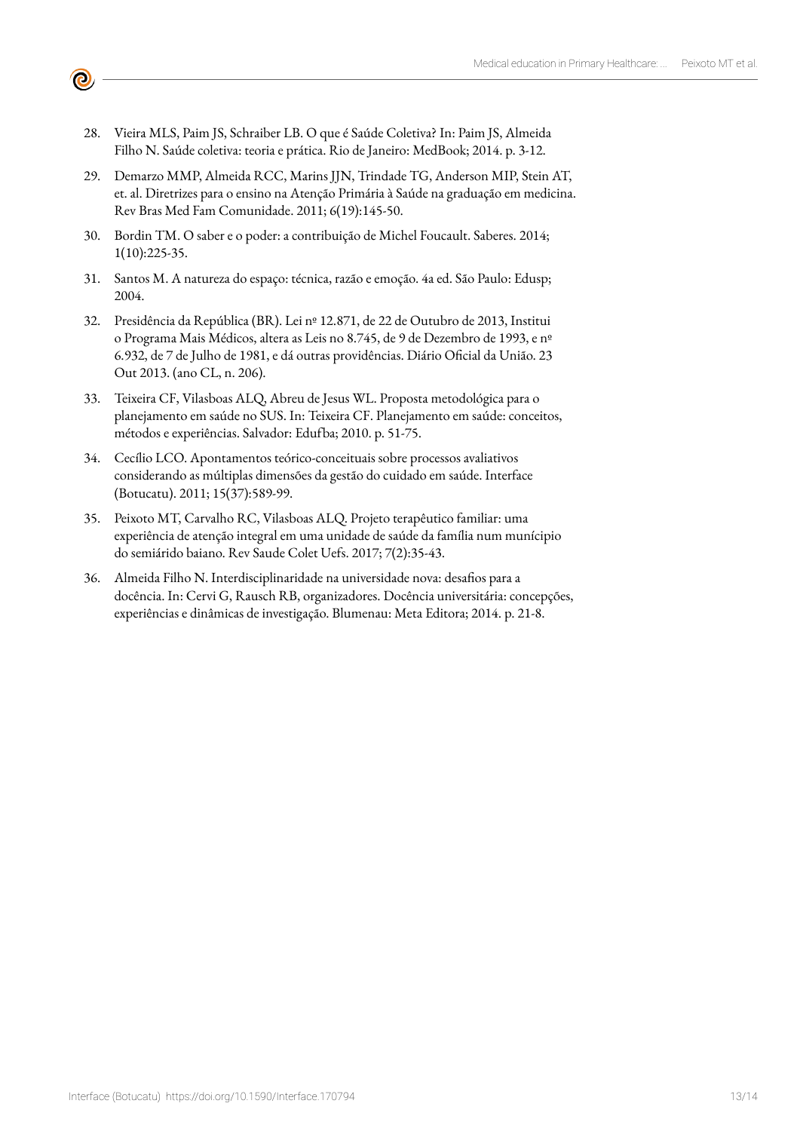28. Vieira MLS, Paim JS, Schraiber LB. O que é Saúde Coletiva? In: Paim JS, Almeida Filho N. Saúde coletiva: teoria e prática. Rio de Janeiro: MedBook; 2014. p. 3-12.

 $\bullet$ 

- 29. Demarzo MMP, Almeida RCC, Marins JJN, Trindade TG, Anderson MIP, Stein AT, et. al. Diretrizes para o ensino na Atenção Primária à Saúde na graduação em medicina. Rev Bras Med Fam Comunidade. 2011; 6(19):145-50.
- 30. Bordin TM. O saber e o poder: a contribuição de Michel Foucault. Saberes. 2014; 1(10):225-35.
- 31. Santos M. A natureza do espaço: técnica, razão e emoção. 4a ed. São Paulo: Edusp; 2004.
- 32. Presidência da República (BR). Lei nº 12.871, de 22 de Outubro de 2013, Institui o Programa Mais Médicos, altera as Leis no 8.745, de 9 de Dezembro de 1993, e nº 6.932, de 7 de Julho de 1981, e dá outras providências. Diário Oficial da União. 23 Out 2013. (ano CL, n. 206).
- 33. Teixeira CF, Vilasboas ALQ, Abreu de Jesus WL. Proposta metodológica para o planejamento em saúde no SUS. In: Teixeira CF. Planejamento em saúde: conceitos, métodos e experiências. Salvador: Edufba; 2010. p. 51-75.
- 34. Cecílio LCO. Apontamentos teórico-conceituais sobre processos avaliativos considerando as múltiplas dimensões da gestão do cuidado em saúde. Interface (Botucatu). 2011; 15(37):589-99.
- 35. Peixoto MT, Carvalho RC, Vilasboas ALQ. Projeto terapêutico familiar: uma experiência de atenção integral em uma unidade de saúde da família num munícipio do semiárido baiano. Rev Saude Colet Uefs. 2017; 7(2):35-43.
- 36. Almeida Filho N. Interdisciplinaridade na universidade nova: desafios para a docência. In: Cervi G, Rausch RB, organizadores. Docência universitária: concepções, experiências e dinâmicas de investigação. Blumenau: Meta Editora; 2014. p. 21-8.